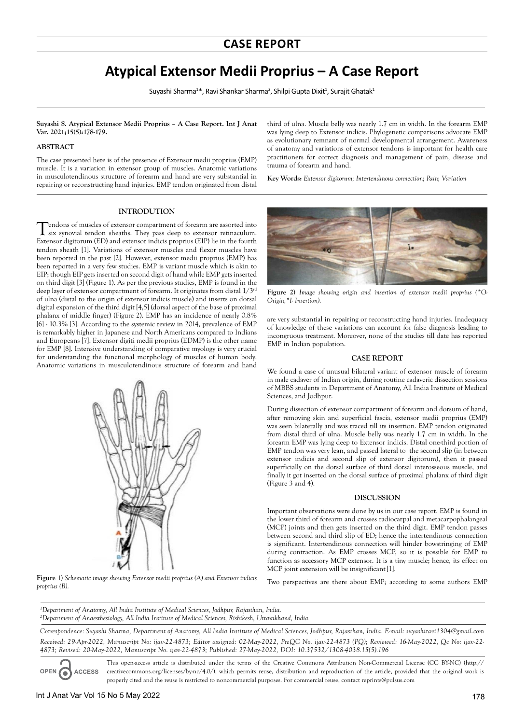# **Atypical Extensor Medii Proprius – A Case Report**

Suyashi Sharma<sup>1\*</sup>, Ravi Shankar Sharma<sup>2</sup>, Shilpi Gupta Dixit<sup>1</sup>, Surajit Ghatak<sup>1</sup>

**Suyashi S. Atypical Extensor Medii Proprius – A Case Report. Int J Anat Var. 2021;15(5):178-179.** 

## **ABSTRACT**

The case presented here is of the presence of Extensor medii proprius (EMP) muscle. It is a variation in extensor group of muscles. Anatomic variations in musculotendinous structure of forearm and hand are very substantial in repairing or reconstructing hand injuries. EMP tendon originated from distal

#### **INTRODUTION**

T endons of muscles of extensor compartment of forearm are assorted into six synovial tendon sheaths. They pass deep to extensor retinaculum. Extensor digitorum (ED) and extensor indicis proprius (EIP) lie in the fourth tendon sheath [1]. Variations of extensor muscles and flexor muscles have been reported in the past [2]. However, extensor medii proprius (EMP) has been reported in a very few studies. EMP is variant muscle which is akin to EIP; though EIP gets inserted on second digit of hand while EMP gets inserted on third digit [3] (Figure 1). As per the previous studies, EMP is found in the deep layer of extensor compartment of forearm. It originates from distal 1/3rd of ulna (distal to the origin of extensor indicis muscle) and inserts on dorsal digital expansion of the third digit [4,5] (dorsal aspect of the base of proximal phalanx of middle finger) (Figure 2). EMP has an incidence of nearly 0.8% [6] - 10.3% [3]. According to the systemic review in 2014, prevalence of EMP is remarkably higher in Japanese and North Americans compared to Indians and Europeans [7]. Extensor digiti medii proprius (EDMP) is the other name for EMP [8]. Intensive understanding of comparative myology is very crucial for understanding the functional morphology of muscles of human body. Anatomic variations in musculotendinous structure of forearm and hand



Figure 1) Schematic image showing Extensor medii proprius (A) and Extensor indicis Two perspectives are there about EMP; according to some authors EMP *proprius (B).* 

third of ulna. Muscle belly was nearly 1.7 cm in width. In the forearm EMP was lying deep to Extensor indicis. Phylogenetic comparisons advocate EMP as evolutionary remnant of normal developmental arrangement. Awareness of anatomy and variations of extensor tendons is important for health care practitioners for correct diagnosis and management of pain, disease and trauma of forearm and hand.

**Key Words:** *Extensor digitorum; Intertendinous connection; Pain; Variation*



**Figure 2)** *Image showing origin and insertion of extensor medii proprius (\*O-Origin,\*I- Insertion).*

are very substantial in repairing or reconstructing hand injuries. Inadequacy of knowledge of these variations can account for false diagnosis leading to incongruous treatment. Moreover, none of the studies till date has reported EMP in Indian population.

## **CASE REPORT**

We found a case of unusual bilateral variant of extensor muscle of forearm in male cadaver of Indian origin, during routine cadaveric dissection sessions of MBBS students in Department of Anatomy, All India Institute of Medical Sciences, and Jodhpur.

During dissection of extensor compartment of forearm and dorsum of hand, after removing skin and superficial fascia, extensor medii proprius (EMP) was seen bilaterally and was traced till its insertion. EMP tendon originated from distal third of ulna. Muscle belly was nearly 1.7 cm in width. In the forearm EMP was lying deep to Extensor indicis. Distal one-third portion of EMP tendon was very lean, and passed lateral to the second slip (in between extensor indicis and second slip of extensor digitorum), then it passed superficially on the dorsal surface of third dorsal interosseous muscle, and finally it got inserted on the dorsal surface of proximal phalanx of third digit (Figure 3 and 4).

#### **DISCUSSION**

Important observations were done by us in our case report. EMP is found in the lower third of forearm and crosses radiocarpal and metacarpophalangeal (MCP) joints and then gets inserted on the third digit. EMP tendon passes between second and third slip of ED; hence the intertendinous connection is significant. Intertendinous connection will hinder bowstringing of EMP during contraction. As EMP crosses MCP, so it is possible for EMP to function as accessory MCP extensor. It is a tiny muscle; hence, its effect on MCP joint extension will be insignificant[1].

*1 Department of Anatomy, All India Institute of Medical Sciences, Jodhpur, Rajasthan, India. 2 Department of Anaesthesiology, All India Institute of Medical Sciences, Rishikesh, Uttarakhand, India*

*Correspondence: Suyashi Sharma, Department of Anatomy, All India Institute of Medical Sciences, Jodhpur, Rajasthan, India. E-mail: suyashiravi1304@gmail.com Received: 29-Apr-2022, Manuscript No: ijav-22-4873; Editor assigned: 02-May-2022, PreQC No. ijav-22-4873 (PQ); Reviewed: 16-May-2022, Qc No: ijav-22- 4873; Revised: 20-May-2022, Manuscript No. ijav-22-4873; Published: 27-May-2022, DOI: 10.37532/1308-4038.15(5).196*

**OPEN ACCESS** This open-access article is distributed under the terms of the Creative Commons Attribution Non-Commercial License (CC BY-NC) (http:// creativecommons.org/licenses/by-nc/4.0/), which permits reuse, distribution and reproduction of the article, provided that the original work is properly cited and the reuse is restricted to noncommercial purposes. For commercial reuse, contact reprints@pulsus.com